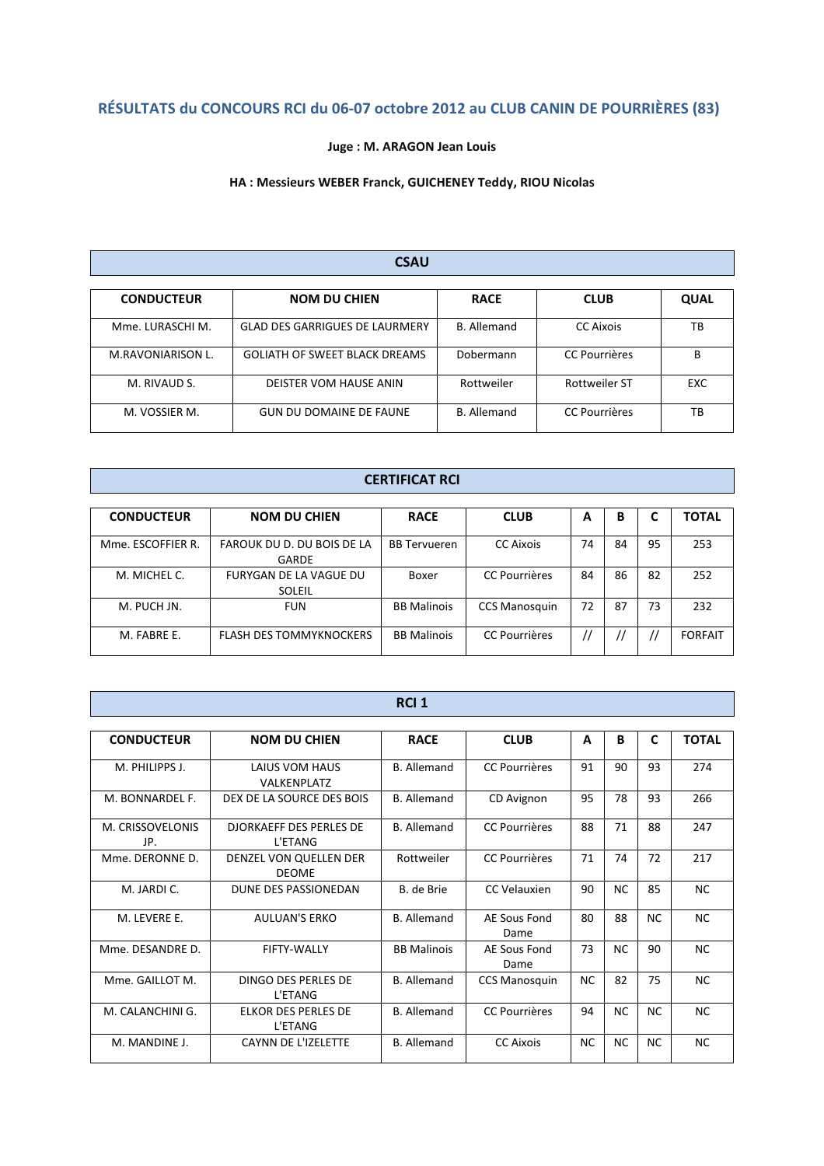# RÉSULTATS du CONCOURS RCI du 06-07 octobre 2012 au CLUB CANIN DE POURRIÈRES (83)

# Juge : M. ARAGON Jean Louis

## HA : Messieurs WEBER Franck, GUICHENEY Teddy, RIOU Nicolas

#### CSAU

| <b>CONDUCTEUR</b> | <b>NOM DU CHIEN</b>                   | <b>RACE</b>        | <b>CLUB</b>          | <b>QUAL</b> |
|-------------------|---------------------------------------|--------------------|----------------------|-------------|
| Mme. LURASCHI M.  | <b>GLAD DES GARRIGUES DE LAURMERY</b> | <b>B.</b> Allemand | <b>CC Aixois</b>     | тв          |
| M.RAVONIARISON L. | <b>GOLIATH OF SWEET BLACK DREAMS</b>  | Dobermann          | <b>CC Pourrières</b> | В           |
| M. RIVAUD S.      | DEISTER VOM HAUSE ANIN                | Rottweiler         | <b>Rottweiler ST</b> | EXC         |
| M. VOSSIER M.     | <b>GUN DU DOMAINE DE FAUNE</b>        | <b>B.</b> Allemand | <b>CC Pourrières</b> | ТB          |

# CERTIFICAT RCI

| <b>CONDUCTEUR</b> | <b>NOM DU CHIEN</b>                     | <b>RACE</b>         | <b>CLUB</b>          | A  | В  | L  | <b>TOTAL</b>   |
|-------------------|-----------------------------------------|---------------------|----------------------|----|----|----|----------------|
| Mme. ESCOFFIER R. | FAROUK DU D. DU BOIS DE LA<br>GARDE     | <b>BB</b> Tervueren | <b>CC Aixois</b>     | 74 | 84 | 95 | 253            |
| M. MICHEL C.      | FURYGAN DE LA VAGUE DU<br><b>SOLEIL</b> | Boxer               | <b>CC Pourrières</b> | 84 | 86 | 82 | 252            |
| M. PUCH JN.       | <b>FUN</b>                              | <b>BB Malinois</b>  | <b>CCS Manosquin</b> | 72 | 87 | 73 | 232            |
| M. FABRE E.       | <b>FLASH DES TOMMYKNOCKERS</b>          | <b>BB Malinois</b>  | <b>CC Pourrières</b> |    |    |    | <b>FORFAIT</b> |

|                         |                                           | RCI <sub>1</sub>   |                      |     |           |           |              |
|-------------------------|-------------------------------------------|--------------------|----------------------|-----|-----------|-----------|--------------|
| <b>CONDUCTEUR</b>       | <b>NOM DU CHIEN</b>                       | <b>RACE</b>        | <b>CLUB</b>          | A   | В         | C         | <b>TOTAL</b> |
| M. PHILIPPS J.          | LAIUS VOM HAUS<br>VALKENPLATZ             | <b>B.</b> Allemand | <b>CC Pourrières</b> | 91  | 90        | 93        | 274          |
| M. BONNARDEL F.         | DEX DE LA SOURCE DES BOIS                 | <b>B.</b> Allemand | CD Avignon           | 95  | 78        | 93        | 266          |
| M. CRISSOVELONIS<br>JP. | <b>DJORKAEFF DES PERLES DE</b><br>L'ETANG | <b>B.</b> Allemand | <b>CC Pourrières</b> | 88  | 71        | 88        | 247          |
| Mme. DERONNE D.         | DENZEL VON QUELLEN DER<br><b>DEOME</b>    | Rottweiler         | <b>CC Pourrières</b> | 71  | 74        | 72        | 217          |
| M. JARDI C.             | DUNE DES PASSIONEDAN                      | B. de Brie         | CC Velauxien         | 90  | <b>NC</b> | 85        | <b>NC</b>    |
| M. LEVERE E.            | <b>AULUAN'S ERKO</b>                      | <b>B.</b> Allemand | AE Sous Fond<br>Dame | 80  | 88        | <b>NC</b> | <b>NC</b>    |
| Mme. DESANDRE D.        | FIFTY-WALLY                               | <b>BB Malinois</b> | AE Sous Fond<br>Dame | 73  | <b>NC</b> | 90        | <b>NC</b>    |
| Mme. GAILLOT M.         | DINGO DES PERLES DE<br>L'ETANG            | <b>B.</b> Allemand | <b>CCS Manosquin</b> | NC. | 82        | 75        | <b>NC</b>    |
| M. CALANCHINI G.        | ELKOR DES PERLES DE<br>L'ETANG            | <b>B.</b> Allemand | <b>CC Pourrières</b> | 94  | <b>NC</b> | NC.       | <b>NC</b>    |
| M. MANDINE J.           | <b>CAYNN DE L'IZELETTE</b>                | <b>B.</b> Allemand | <b>CC Aixois</b>     | NC  | <b>NC</b> | NC        | <b>NC</b>    |